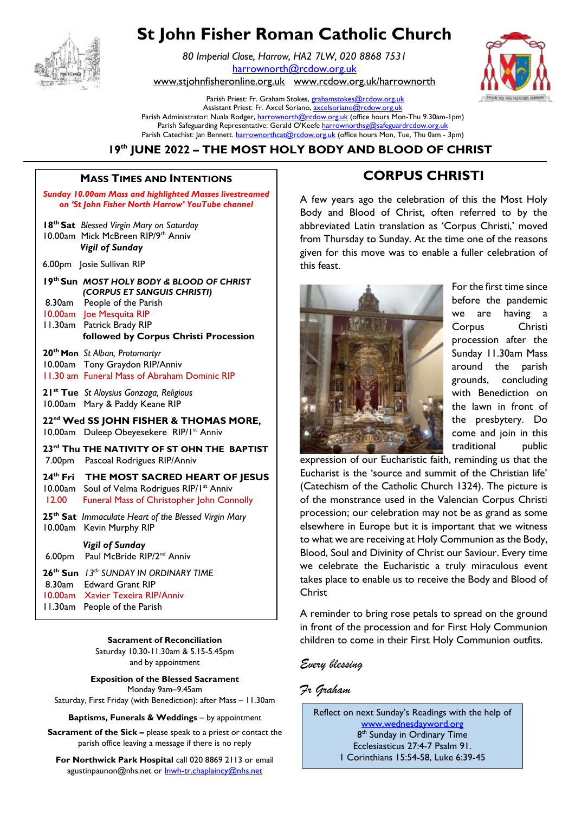

# **St John Fisher Roman Catholic Church**

*80 Imperial Close, Harrow, HA2 7LW, 020 8868 7531* [harrownorth@rcdow.org.uk](mailto:harrownorth@rcdow.org.uk) 

[www.stjohnfisheronline.org.uk](http://www.stjohnfisheronline.org.uk/) www.rcdow.org.uk/harrownorth

Parish Priest: Fr. Graham Stokes[, grahamstokes@rcdow.org.uk](mailto:grahamstokes@rcdow.org.uk) Assistant Priest: Fr. Axcel Soriano[, axcelsoriano@rcdow.org.uk](mailto:axcelsoriano@rcdow.org.uk) Parish Administrator: Nuala Rodger[, harrownorth@rcdow.org.uk](mailto:harrownorth@rcdow.org.uk) (office hours Mon-Thu 9.30am-1pm) Parish Safeguarding Representative: Gerald O'Keefe [harrownorthsg@safeguardrcdow.org.uk](mailto:harrownorthsg@safeguardrcdow.org.uk) Parish Catechist: Jan Bennett. [harrownorthcat@rcdow.org.uk](mailto:harrownorthcat@rcdow.org.uk) (office hours Mon, Tue, Thu 0am - 3pm)

**19th JUNE 2022 – THE MOST HOLY BODY AND BLOOD OF CHRIST** 

#### MASS TIMES AND INTENTIONS FOR THE RESERVED OF CORPUS CHRISTI **\_\_\_\_\_\_\_\_\_\_\_\_\_\_\_\_\_\_\_\_\_\_\_\_\_\_\_\_\_\_\_\_\_\_\_\_\_\_\_\_\_\_\_\_\_\_\_\_\_\_\_\_\_\_\_\_\_\_\_\_\_\_\_\_\_\_\_\_** -------[Grab your reader's attention with a great quote from the document or use this space to emphasize a key

**CHRISIS CONTRACTOR** 

**Sunday 10.00am Mass and highlighted Masses livestreamed** A few *on 'St John Fisher North Harrow' YouTube channel*  **18th Sat** *Blessed Virgin Mary on Saturday* 10.00am Mick McBreen RIP/9th Anniv *Vigil of Sunday*  6.00pm Josie Sullivan RIP **19th Sun** *MOST HOLY BODY & BLOOD OF CHRIST (CORPUS ET SANGUIS CHRISTI)* 8.30am People of the Parish 10.00am Joe Mesquita RIP 11.30am Patrick Brady RIP  **followed by Corpus Christi Procession 20th Mon** *St Alban, Protomartyr* 10.00am Tony Graydon RIP/Anniv 11.30 am Funeral Mass of Abraham Dominic RIP **21st Tue** *St Aloysius Gonzaga, Religious* 10.00am Mary & Paddy Keane RIP **22nd Wed SS JOHN FISHER & THOMAS MORE,** 10.00am Duleep ObeyesekereRIP/1st Anniv **23rd Thu THE NATIVITY OF ST OHN THE BAPTIST** 7.00pmPascoal Rodrigues RIP/Anniv **24th Fri THE MOST SACRED HEART OF JESUS** 10.00am Soul of Velma Rodrigues RIP/Ist Anniv 12.00 Funeral Mass of Christopher John Connolly **25th Sat** *Immaculate Heart of the Blessed Virgin Mary* 10.00am Kevin Murphy RIP *Vigil of Sunday* 6.00pm Paul McBride RIP/2<sup>nd</sup> Anniv **26th Sun** *13th SUNDAY IN ORDINARY TIME* 8.30am Edward Grant RIP 10.00am Xavier Texeira RIP/Anniv 11.30am People of the Parish  $\overline{a}$ 

**Sacrament of Reconciliation**

Saturday 10.30-11.30am & 5.15-5.45pm and by appointment

**Exposition of the Blessed Sacrament** Monday 9am–9.45am

Saturday, First Friday (with Benediction): after Mass – 11.30am

**Baptisms, Funerals & Weddings** - by appointment

**Sacrament of the Sick –** please speak to a priest or contact the parish office leaving a message if there is no reply

**For Northwick Park Hospital** call 020 8869 2113 or email agustinpaunon@nhs.net or **Inwh-tr.chaplaincy@nhs.net** 

# **Example 12**<br>
CORPUS CHRISTI

amed <br> **A** few years ago the celebration of this the Most Holy Body and Blood of Christ, often referred to by the Virgin Mary on Saturday **Netwitted Station as 'Corpus Christi,'** moved nniv **Example 3** Trom Thursday to Sunday. At the time one of the reasons given for this move was to enable a fuller celebration of this feast.



For the first time since before the pandemic we are having a Corpus Christi procession after the Sunday 11.30am Mass around the parish grounds, concluding with Benediction on the lawn in front of the presbytery. Do come and join in this traditional public

expression of our Eucharistic faith, reminding us that the Eucharist is the 'source and summit of the Christian life' (Catechism of the Catholic Church 1324). The picture is of the monstrance used in the Valencian Corpus Christi procession; our celebration may not be as grand as some elsewhere in Europe but it is important that we witness to what we are receiving at Holy Communion as the Body, Blood, Soul and Divinity of Christ our Saviour. Every time we celebrate the Eucharistic a truly miraculous event takes place to enable us to receive the Body and Blood of Christ

A reminder to bring rose petals to spread on the ground in front of the procession and for First Holy Communion children to come in their First Holy Communion outfits.

# *Every blessing*

*Fr Graham*

Reflect on next Sunday's Readings with the help of [www.wednesdayword.org](http://www.wednesdayword.org/) 8<sup>th</sup> Sunday in Ordinary Time Ecclesiasticus 27:4-7 Psalm 91. 1 Corinthians 15:54-58, Luke 6:39-45